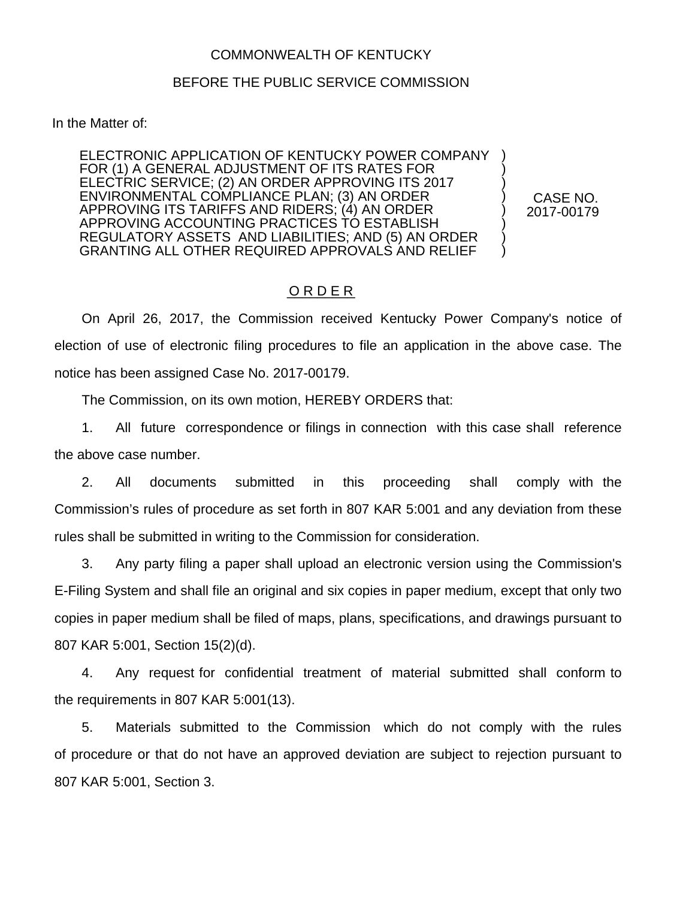## COMMONWEALTH OF KENTUCKY

## BEFORE THE PUBLIC SERVICE COMMISSION

In the Matter of:

ELECTRONIC APPLICATION OF KENTUCKY POWER COMPANY FOR (1) A GENERAL ADJUSTMENT OF ITS RATES FOR ELECTRIC SERVICE; (2) AN ORDER APPROVING ITS 2017 ENVIRONMENTAL COMPLIANCE PLAN; (3) AN ORDER APPROVING ITS TARIFFS AND RIDERS; (4) AN ORDER APPROVING ACCOUNTING PRACTICES TO ESTABLISH REGULATORY ASSETS AND LIABILITIES; AND (5) AN ORDER GRANTING ALL OTHER REQUIRED APPROVALS AND RELIEF

CASE NO. 2017-00179

) ) ) ) ) ) ) )

## O R D E R

On April 26, 2017, the Commission received Kentucky Power Company's notice of election of use of electronic filing procedures to file an application in the above case. The notice has been assigned Case No. 2017-00179.

The Commission, on its own motion, HEREBY ORDERS that:

1. All future correspondence or filings in connection with this case shall reference the above case number.

2. All documents submitted in this proceeding shall comply with the Commission's rules of procedure as set forth in 807 KAR 5:001 and any deviation from these rules shall be submitted in writing to the Commission for consideration.

3. Any party filing a paper shall upload an electronic version using the Commission's E-Filing System and shall file an original and six copies in paper medium, except that only two copies in paper medium shall be filed of maps, plans, specifications, and drawings pursuant to 807 KAR 5:001, Section 15(2)(d).

4. Any request for confidential treatment of material submitted shall conform to the requirements in 807 KAR 5:001(13).

5. Materials submitted to the Commission which do not comply with the rules of procedure or that do not have an approved deviation are subject to rejection pursuant to 807 KAR 5:001, Section 3.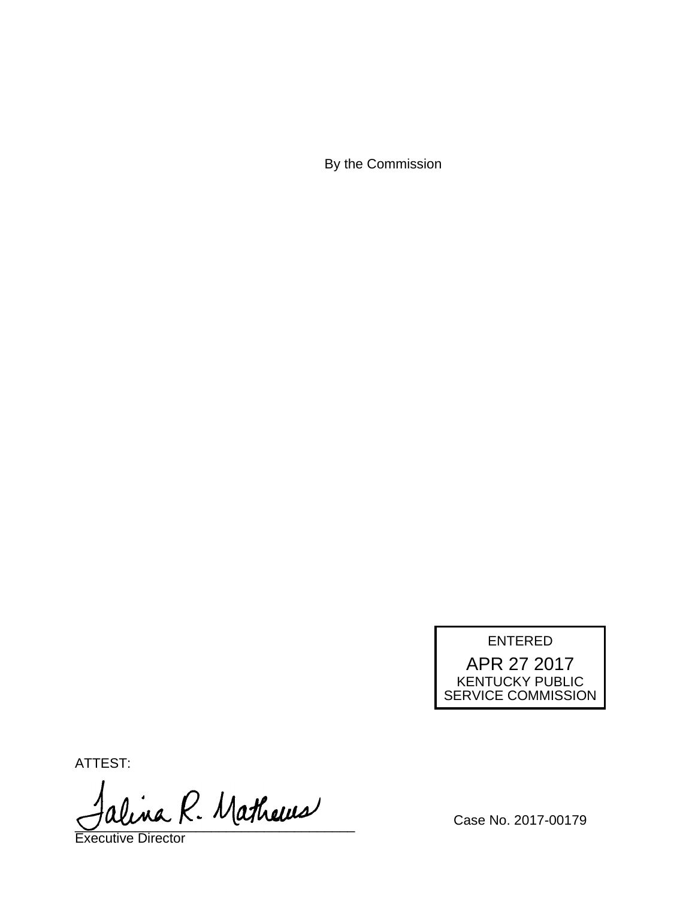By the Commission

## ENTERED APR 27 2017 KENTUCKY PUBLIC SERVICE COMMISSION

ATTEST:

alina R. Mathews

Executive Director

Case No. 2017-00179